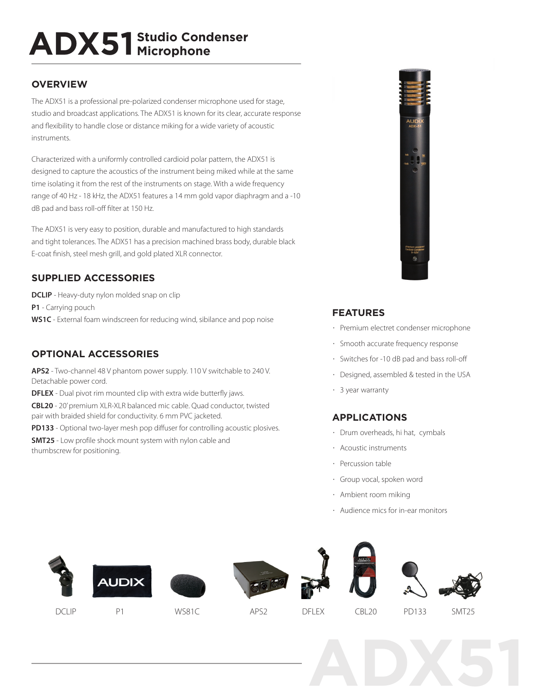# **ADX51 Studio Condenser Microphone**

# **OVERVIEW**

The ADX51 is a professional pre-polarized condenser microphone used for stage, studio and broadcast applications. The ADX51 is known for its clear, accurate response and flexibility to handle close or distance miking for a wide variety of acoustic instruments.

Characterized with a uniformly controlled cardioid polar pattern, the ADX51 is designed to capture the acoustics of the instrument being miked while at the same time isolating it from the rest of the instruments on stage. With a wide frequency range of 40 Hz - 18 kHz, the ADX51 features a 14 mm gold vapor diaphragm and a -10 dB pad and bass roll-off filter at 150 Hz.

The ADX51 is very easy to position, durable and manufactured to high standards and tight tolerances. The ADX51 has a precision machined brass body, durable black E-coat finish, steel mesh grill, and gold plated XLR connector.

# **SUPPLIED ACCESSORIES**

**DCLIP** - Heavy-duty nylon molded snap on clip **P1** - Carrying pouch **WS1C** - External foam windscreen for reducing wind, sibilance and pop noise

# **OPTIONAL ACCESSORIES**

**APS2** - Two-channel 48 V phantom power supply. 110 V switchable to 240 V. Detachable power cord.

**DFLEX** - Dual pivot rim mounted clip with extra wide butterfly jaws.

**CBL20** - 20' premium XLR-XLR balanced mic cable. Quad conductor, twisted pair with braided shield for conductivity. 6 mm PVC jacketed.

**PD133** - Optional two-layer mesh pop diffuser for controlling acoustic plosives.

**SMT25** - Low profile shock mount system with nylon cable and thumbscrew for positioning.



## **FEATURES**

- · Premium electret condenser microphone
- · Smooth accurate frequency response
- · Switches for -10 dB pad and bass roll-off
- · Designed, assembled & tested in the USA
- · 3 year warranty

# **APPLICATIONS**

- · Drum overheads, hi hat, cymbals
- · Acoustic instruments
- · Percussion table
- · Group vocal, spoken word
- · Ambient room miking
- · Audience mics for in-ear monitors

















DCLIP P1 WS81C APS2 DFLEX CBL20 PD133 SMT25

**ADX51**